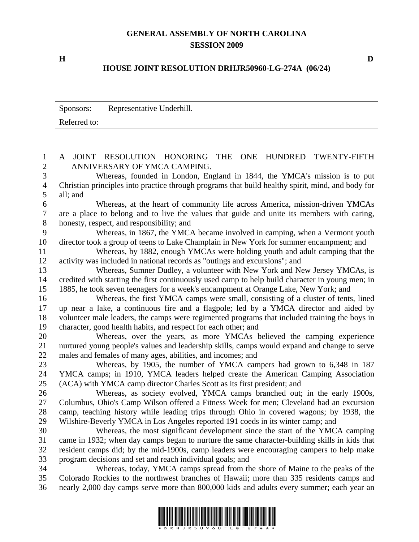## **GENERAL ASSEMBLY OF NORTH CAROLINA SESSION 2009**

## **HOUSE JOINT RESOLUTION DRHJR50960-LG-274A (06/24)**

|              | Sponsors: Representative Underhill. |  |
|--------------|-------------------------------------|--|
| Referred to: |                                     |  |

1 A JOINT RESOLUTION HONORING THE ONE HUNDRED TWENTY-FIFTH 2 ANNIVERSARY OF YMCA CAMPING. 3 Whereas, founded in London, England in 1844, the YMCA's mission is to put 4 Christian principles into practice through programs that build healthy spirit, mind, and body for 5 all; and 6 Whereas, at the heart of community life across America, mission-driven YMCAs 7 are a place to belong and to live the values that guide and unite its members with caring, 8 honesty, respect, and responsibility; and 9 Whereas, in 1867, the YMCA became involved in camping, when a Vermont youth 10 director took a group of teens to Lake Champlain in New York for summer encampment; and 11 Whereas, by 1882, enough YMCAs were holding youth and adult camping that the 12 activity was included in national records as "outings and excursions"; and 13 Whereas, Sumner Dudley, a volunteer with New York and New Jersey YMCAs, is 14 credited with starting the first continuously used camp to help build character in young men; in 15 1885, he took seven teenagers for a week's encampment at Orange Lake, New York; and 16 Whereas, the first YMCA camps were small, consisting of a cluster of tents, lined 17 up near a lake, a continuous fire and a flagpole; led by a YMCA director and aided by 18 volunteer male leaders, the camps were regimented programs that included training the boys in 19 character, good health habits, and respect for each other; and 20 Whereas, over the years, as more YMCAs believed the camping experience 21 nurtured young people's values and leadership skills, camps would expand and change to serve 22 males and females of many ages, abilities, and incomes; and 23 Whereas, by 1905, the number of YMCA campers had grown to 6,348 in 187 24 YMCA camps; in 1910, YMCA leaders helped create the American Camping Association 25 (ACA) with YMCA camp director Charles Scott as its first president; and 26 Whereas, as society evolved, YMCA camps branched out; in the early 1900s, 27 Columbus, Ohio's Camp Wilson offered a Fitness Week for men; Cleveland had an excursion 28 camp, teaching history while leading trips through Ohio in covered wagons; by 1938, the 29 Wilshire-Beverly YMCA in Los Angeles reported 191 coeds in its winter camp; and 30 Whereas, the most significant development since the start of the YMCA camping 31 came in 1932; when day camps began to nurture the same character-building skills in kids that 32 resident camps did; by the mid-1900s, camp leaders were encouraging campers to help make 33 program decisions and set and reach individual goals; and 34 Whereas, today, YMCA camps spread from the shore of Maine to the peaks of the 35 Colorado Rockies to the northwest branches of Hawaii; more than 335 residents camps and 36 nearly 2,000 day camps serve more than 800,000 kids and adults every summer; each year an



**H D**